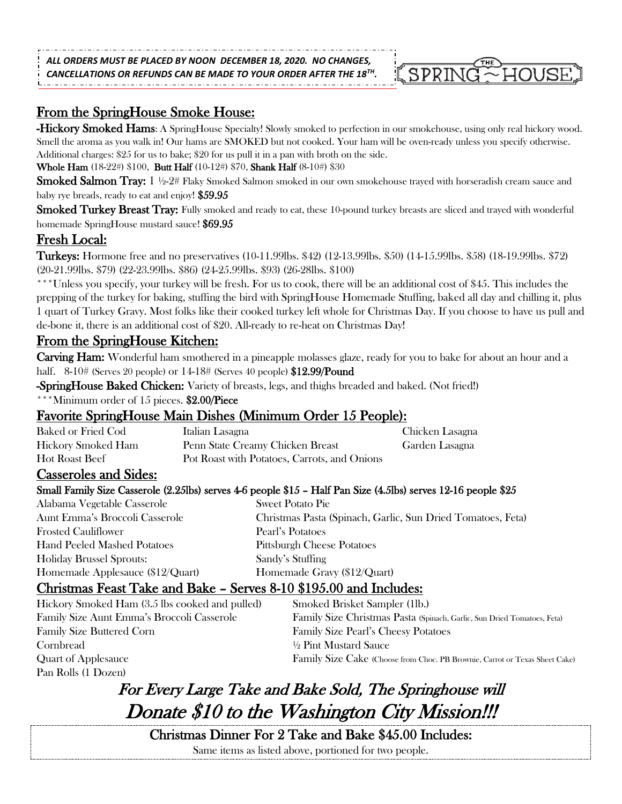*ALL ORDERS MUST BE PLACED BY NOON DECEMBER 18, 2020. NO CHANGES,* 

*CANCELLATIONS OR REFUNDS CAN BE MADE TO YOUR ORDER AFTER THE 18TH .*

# From the SpringHouse Smoke House:

-Hickory Smoked Hams: A SpringHouse Specialty! Slowly smoked to perfection in our smokehouse, using only real hickory wood. Smell the aroma as you walk in! Our hams are SMOKED but not cooked. Your ham will be oven-ready unless you specify otherwise. Additional charges: \$25 for us to bake; \$20 for us pull it in a pan with broth on the side.

SPRIN

Whole Ham (18-22#) \$100, Butt Half (10-12#) \$70, Shank Half (8-10#) \$30

**Smoked Salmon Tray:** 1 ½-2# Flaky Smoked Salmon smoked in our own smokehouse trayed with horseradish cream sauce and baby rye breads, ready to eat and enjoy! \$59.95

Smoked Turkey Breast Tray: Fully smoked and ready to eat, these 10-pound turkey breasts are sliced and trayed with wonderful homemade SpringHouse mustard sauce! \$69.95

# Fresh Local:

Turkeys: Hormone free and no preservatives (10-11.99lbs. \$42) (12-13.99lbs. \$50) (14-15.99lbs. \$58) (18-19.99lbs. \$72) (20-21.99lbs. \$79) (22-23.99lbs. \$86) (24-25.99lbs. \$93) (26-28lbs. \$100)

\*\*\*Unless you specify, your turkey will be fresh. For us to cook, there will be an additional cost of \$45. This includes the prepping of the turkey for baking, stuffing the bird with SpringHouse Homemade Stuffing, baked all day and chilling it, plus 1 quart of Turkey Gravy. Most folks like their cooked turkey left whole for Christmas Day. If you choose to have us pull and de-bone it, there is an additional cost of \$20. All-ready to re-heat on Christmas Day!

# From the SpringHouse Kitchen:

Carving Ham: Wonderful ham smothered in a pineapple molasses glaze, ready for you to bake for about an hour and a half. 8-10# (Serves 20 people) or 14-18# (Serves 40 people) \$12.99/Pound

-SpringHouse Baked Chicken: Variety of breasts, legs, and thighs breaded and baked. (Not fried!)

\*\*\*Minimum order of 15 pieces. \$2.00/Piece

# Favorite SpringHouse Main Dishes (Minimum Order 15 People):

| Baked or Fried Cod    | Italian Lasagna                              | Chicken Lasagna |
|-----------------------|----------------------------------------------|-----------------|
| Hickory Smoked Ham    | Penn State Creamy Chicken Breast             | Garden Lasagna  |
| <b>Hot Roast Beef</b> | Pot Roast with Potatoes, Carrots, and Onions |                 |

### Casseroles and Sides:

### Small Family Size Casserole (2.25lbs) serves 4-6 people \$15 – Half Pan Size (4.5lbs) serves 12-16 people \$25

| Alabama Vegetable Casserole         | <b>Sweet Potato Pie</b>                                     |
|-------------------------------------|-------------------------------------------------------------|
| Aunt Emma's Broccoli Casserole      | Christmas Pasta (Spinach, Garlic, Sun Dried Tomatoes, Feta) |
| <b>Frosted Cauliflower</b>          | Pearl's Potatoes                                            |
| <b>Hand Peeled Mashed Potatoes</b>  | <b>Pittsburgh Cheese Potatoes</b>                           |
| <b>Holiday Brussel Sprouts:</b>     | Sandy's Stuffing                                            |
| Homemade Applesauce $(\$12/Q)$ uart | Homemade Gravy (\$12/Quart)                                 |

# Christmas Feast Take and Bake – Serves 8-10 \$195.00 and Includes:

| Hickory Smoked Ham (3.5 lbs cooked and pulled) | Smoked Brisket Sampler (1lb.)                                               |
|------------------------------------------------|-----------------------------------------------------------------------------|
| Family Size Aunt Emma's Broccoli Casserole     | Family Size Christmas Pasta (Spinach, Garlic, Sun Dried Tomatoes, Feta)     |
| <b>Family Size Buttered Corn</b>               | <b>Family Size Pearl's Cheesy Potatoes</b>                                  |
| Cornbread                                      | 1/2 Pint Mustard Sauce                                                      |
| Quart of Applesauce                            | Family Size Cake (Choose from Choc. PB Brownie, Carrot or Texas Sheet Cake) |
| Pan Rolls (1 Dozen)                            |                                                                             |

# For Every Large Take and Bake Sold, The Springhouse will Donate \$10 to the Washington City Mission!!!

Christmas Dinner For 2 Take and Bake \$45.00 Includes:

Same items as listed above, portioned for two people.